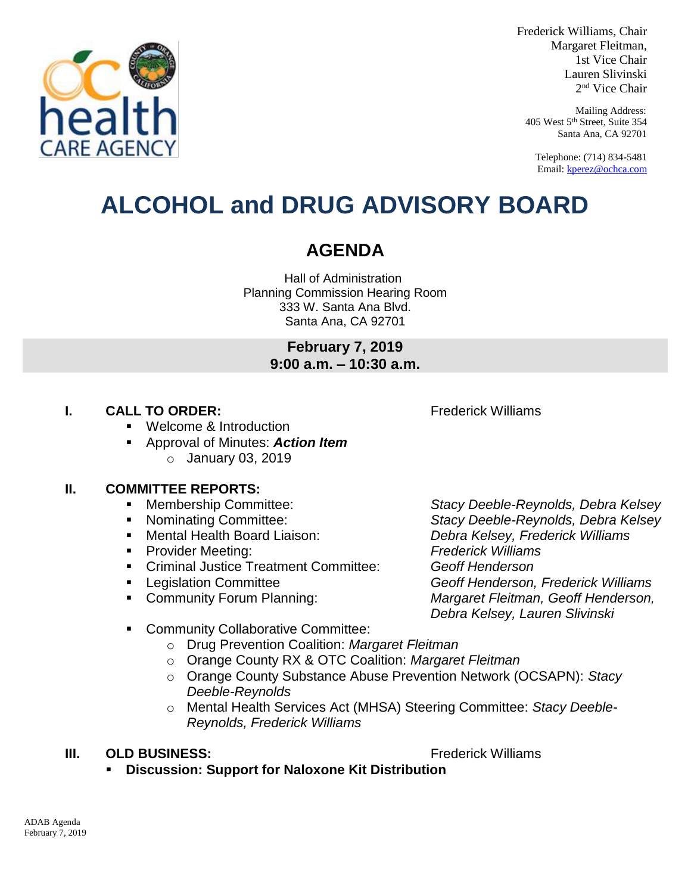

Frederick Williams, Chair Margaret Fleitman, 1st Vice Chair Lauren Slivinski 2 nd Vice Chair

Mailing Address: 405 West 5th Street, Suite 354 Santa Ana, CA 92701

Telephone: (714) 834-5481 Email[: kperez@ochca.com](mailto:kperez@ochca.com)

## **ALCOHOL and DRUG ADVISORY BOARD**

### **AGENDA**

Hall of Administration Planning Commission Hearing Room 333 W. Santa Ana Blvd. Santa Ana, CA 92701

> **February 7, 2019 9:00 a.m. – 10:30 a.m.**

#### **I. CALL TO ORDER:** Frederick Williams

Welcome & Introduction

 Approval of Minutes: *Action Item* o January 03, 2019

#### **II. COMMITTEE REPORTS:**

- 
- 
- 
- Provider Meeting: *Frederick Williams*
- Criminal Justice Treatment Committee: *Geoff Henderson*
- 
- 

 Membership Committee: *Stacy Deeble-Reynolds, Debra Kelsey* Nominating Committee: *Stacy Deeble-Reynolds, Debra Kelsey* Mental Health Board Liaison: *Debra Kelsey, Frederick Williams* Legislation Committee *Geoff Henderson, Frederick Williams*  Community Forum Planning: *Margaret Fleitman, Geoff Henderson, Debra Kelsey, Lauren Slivinski*

- **EXECOMMUNITY Collaborative Committee:** 
	- o Drug Prevention Coalition: *Margaret Fleitman*
	- o Orange County RX & OTC Coalition: *Margaret Fleitman*
	- o Orange County Substance Abuse Prevention Network (OCSAPN): *Stacy Deeble-Reynolds*
	- o Mental Health Services Act (MHSA) Steering Committee: *Stacy Deeble-Reynolds, Frederick Williams*

#### **III. OLD BUSINESS:** The Contract of the Contract of Trederick Williams

**Discussion: Support for Naloxone Kit Distribution**